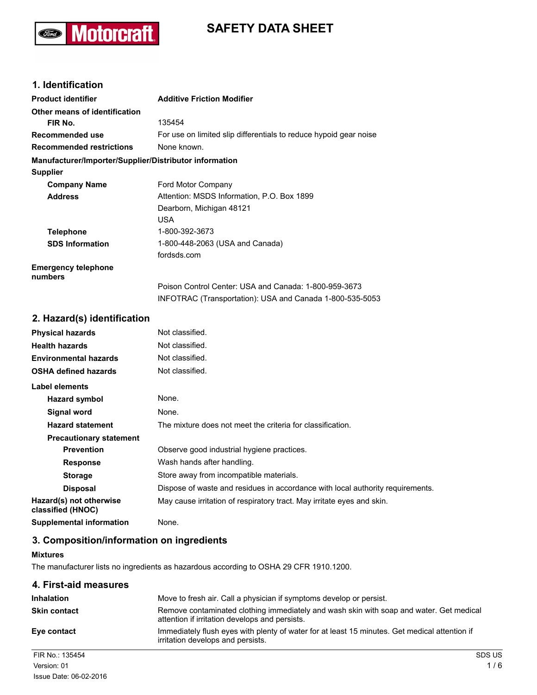# **SAFETY DATA SHEET**



## **1. Identification**

| <b>Product identifier</b>                              | <b>Additive Friction Modifier</b>                                 |
|--------------------------------------------------------|-------------------------------------------------------------------|
| Other means of identification                          |                                                                   |
| FIR No.                                                | 135454                                                            |
| Recommended use                                        | For use on limited slip differentials to reduce hypoid gear noise |
| <b>Recommended restrictions</b>                        | None known.                                                       |
| Manufacturer/Importer/Supplier/Distributor information |                                                                   |
| <b>Supplier</b>                                        |                                                                   |
| <b>Company Name</b>                                    | Ford Motor Company                                                |
| <b>Address</b>                                         | Attention: MSDS Information, P.O. Box 1899                        |
|                                                        | Dearborn, Michigan 48121                                          |
|                                                        | <b>USA</b>                                                        |
| <b>Telephone</b>                                       | 1-800-392-3673                                                    |
| <b>SDS Information</b>                                 | 1-800-448-2063 (USA and Canada)                                   |
|                                                        | fordsds.com                                                       |
| <b>Emergency telephone</b><br>numbers                  |                                                                   |
|                                                        | Poison Control Center: USA and Canada: 1-800-959-3673             |
|                                                        | INFOTRAC (Transportation): USA and Canada 1-800-535-5053          |
| 2. Hazard(s) identification                            |                                                                   |
| <b>Physical hazards</b>                                | Not classified.                                                   |
| <b>Health hazards</b>                                  | Not classified.                                                   |

| <b>Environmental hazards</b>                 | Not classified.                                                                |
|----------------------------------------------|--------------------------------------------------------------------------------|
| <b>OSHA defined hazards</b>                  | Not classified.                                                                |
| Label elements                               |                                                                                |
| Hazard symbol                                | None.                                                                          |
| Signal word                                  | None.                                                                          |
| <b>Hazard statement</b>                      | The mixture does not meet the criteria for classification.                     |
| <b>Precautionary statement</b>               |                                                                                |
| <b>Prevention</b>                            | Observe good industrial hygiene practices.                                     |
| <b>Response</b>                              | Wash hands after handling.                                                     |
| <b>Storage</b>                               | Store away from incompatible materials.                                        |
| <b>Disposal</b>                              | Dispose of waste and residues in accordance with local authority requirements. |
| Hazard(s) not otherwise<br>classified (HNOC) | May cause irritation of respiratory tract. May irritate eyes and skin.         |
| <b>Supplemental information</b>              | None.                                                                          |

## **3. Composition/information on ingredients**

## **Mixtures**

The manufacturer lists no ingredients as hazardous according to OSHA 29 CFR 1910.1200.

## **4. First-aid measures**

| <b>Inhalation</b>   | Move to fresh air. Call a physician if symptoms develop or persist.                                                                       |               |
|---------------------|-------------------------------------------------------------------------------------------------------------------------------------------|---------------|
| <b>Skin contact</b> | Remove contaminated clothing immediately and wash skin with soap and water. Get medical<br>attention if irritation develops and persists. |               |
| Eye contact         | Immediately flush eyes with plenty of water for at least 15 minutes. Get medical attention if<br>irritation develops and persists.        |               |
| FIR No.: 135454     |                                                                                                                                           | <b>SDS US</b> |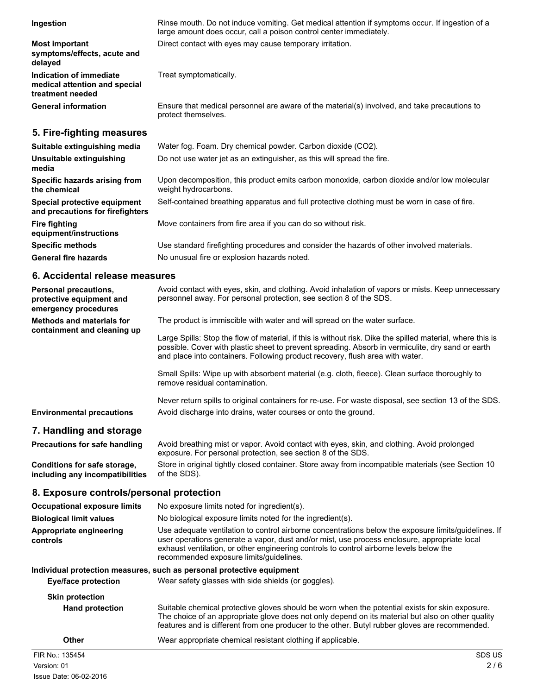#### **Ingestion**

**symptoms/effects, acute and delayed Indication of immediate** Treat symptomatically. **medical attention and special treatment needed General information**

Rinse mouth. Do not induce vomiting. Get medical attention if symptoms occur. If ingestion of a large amount does occur, call a poison control center immediately. **Most important** Direct contact with eyes may cause temporary irritation.

Ensure that medical personnel are aware of the material(s) involved, and take precautions to protect themselves.

## **5. Fire-fighting measures**

| Suitable extinguishing media                                     | Water fog. Foam. Dry chemical powder. Carbon dioxide (CO2).                                                         |
|------------------------------------------------------------------|---------------------------------------------------------------------------------------------------------------------|
| Unsuitable extinguishing<br>media                                | Do not use water jet as an extinguisher, as this will spread the fire.                                              |
| Specific hazards arising from<br>the chemical                    | Upon decomposition, this product emits carbon monoxide, carbon dioxide and/or low molecular<br>weight hydrocarbons. |
| Special protective equipment<br>and precautions for firefighters | Self-contained breathing apparatus and full protective clothing must be worn in case of fire.                       |
| <b>Fire fighting</b><br>equipment/instructions                   | Move containers from fire area if you can do so without risk.                                                       |
| <b>Specific methods</b>                                          | Use standard firefighting procedures and consider the hazards of other involved materials.                          |
| <b>General fire hazards</b>                                      | No unusual fire or explosion hazards noted.                                                                         |

## **6. Accidental release measures**

| Personal precautions,<br>protective equipment and<br>emergency procedures | Avoid contact with eyes, skin, and clothing. Avoid inhalation of vapors or mists. Keep unnecessary<br>personnel away. For personal protection, see section 8 of the SDS.                 |
|---------------------------------------------------------------------------|------------------------------------------------------------------------------------------------------------------------------------------------------------------------------------------|
| <b>Methods and materials for</b><br>containment and cleaning up           | The product is immiscible with water and will spread on the water surface.<br>Large Spills: Stop the flow of material, if this is without risk. Dike the spilled material, where this is |
|                                                                           | possible. Cover with plastic sheet to prevent spreading. Absorb in vermiculite, dry sand or earth<br>and place into containers. Following product recovery, flush area with water.       |
|                                                                           | Small Spills: Wipe up with absorbent material (e.g. cloth, fleece). Clean surface thoroughly to<br>remove residual contamination.                                                        |
| <b>Environmental precautions</b>                                          | Never return spills to original containers for re-use. For waste disposal, see section 13 of the SDS.<br>Avoid discharge into drains, water courses or onto the ground.                  |

## **7. Handling and storage**

| <b>Precautions for safe handling</b> | Avoid breathing mist or vapor. Avoid contact with eyes, skin, and clothing. Avoid prolonged<br>exposure. For personal protection, see section 8 of the SDS. |
|--------------------------------------|-------------------------------------------------------------------------------------------------------------------------------------------------------------|
| Conditions for safe storage.         | Store in original tightly closed container. Store away from incompatible materials (see Section 10                                                          |
| including any incompatibilities      | of the SDS).                                                                                                                                                |

## **8. Exposure controls/personal protection**

| FIR No.: 135454                                                       | SDS US                                                                                                                                                                                                                                                                                                                                     |
|-----------------------------------------------------------------------|--------------------------------------------------------------------------------------------------------------------------------------------------------------------------------------------------------------------------------------------------------------------------------------------------------------------------------------------|
| Other                                                                 | Wear appropriate chemical resistant clothing if applicable.                                                                                                                                                                                                                                                                                |
| <b>Skin protection</b><br><b>Hand protection</b>                      | Suitable chemical protective gloves should be worn when the potential exists for skin exposure.<br>The choice of an appropriate glove does not only depend on its material but also on other quality<br>features and is different from one producer to the other. Butyl rubber gloves are recommended.                                     |
| <b>Eye/face protection</b>                                            | Individual protection measures, such as personal protective equipment<br>Wear safety glasses with side shields (or goggles).                                                                                                                                                                                                               |
| Appropriate engineering<br>controls                                   | Use adequate ventilation to control airborne concentrations below the exposure limits/guidelines. If<br>user operations generate a vapor, dust and/or mist, use process enclosure, appropriate local<br>exhaust ventilation, or other engineering controls to control airborne levels below the<br>recommended exposure limits/guidelines. |
| <b>Occupational exposure limits</b><br><b>Biological limit values</b> | No exposure limits noted for ingredient(s).<br>No biological exposure limits noted for the ingredient(s).                                                                                                                                                                                                                                  |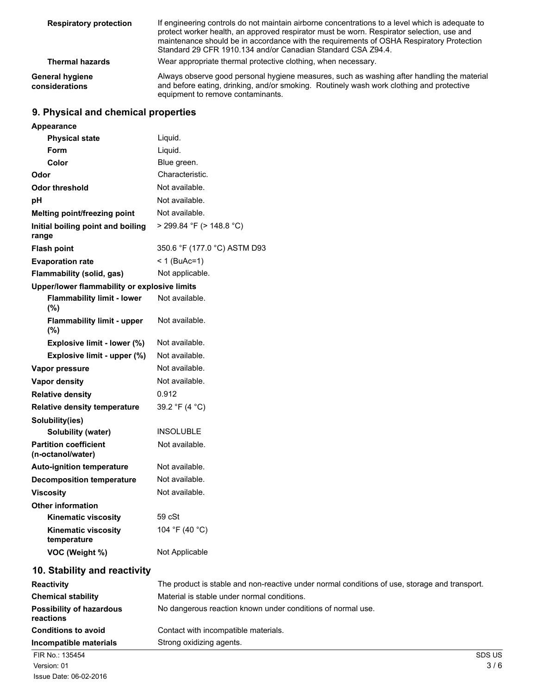| <b>Respiratory protection</b>     | If engineering controls do not maintain airborne concentrations to a level which is adequate to<br>protect worker health, an approved respirator must be worn. Respirator selection, use and<br>maintenance should be in accordance with the requirements of OSHA Respiratory Protection<br>Standard 29 CFR 1910.134 and/or Canadian Standard CSA Z94.4. |
|-----------------------------------|----------------------------------------------------------------------------------------------------------------------------------------------------------------------------------------------------------------------------------------------------------------------------------------------------------------------------------------------------------|
| <b>Thermal hazards</b>            | Wear appropriate thermal protective clothing, when necessary.                                                                                                                                                                                                                                                                                            |
| General hygiene<br>considerations | Always observe good personal hygiene measures, such as washing after handling the material<br>and before eating, drinking, and/or smoking. Routinely wash work clothing and protective<br>equipment to remove contaminants.                                                                                                                              |

## **9. Physical and chemical properties**

| Appearance                                        |                                                                                               |
|---------------------------------------------------|-----------------------------------------------------------------------------------------------|
| <b>Physical state</b>                             | Liquid.                                                                                       |
| Form                                              | Liquid.                                                                                       |
| Color                                             | Blue green.                                                                                   |
| Odor                                              | Characteristic.                                                                               |
| <b>Odor threshold</b>                             | Not available.                                                                                |
| рH                                                | Not available.                                                                                |
| Melting point/freezing point                      | Not available.                                                                                |
| Initial boiling point and boiling<br>range        | $>$ 299.84 °F ( $>$ 148.8 °C)                                                                 |
| <b>Flash point</b>                                | 350.6 °F (177.0 °C) ASTM D93                                                                  |
| <b>Evaporation rate</b>                           | $< 1$ (BuAc=1)                                                                                |
| Flammability (solid, gas)                         | Not applicable.                                                                               |
| Upper/lower flammability or explosive limits      |                                                                                               |
| <b>Flammability limit - lower</b><br>(%)          | Not available.                                                                                |
| <b>Flammability limit - upper</b><br>(%)          | Not available.                                                                                |
| Explosive limit - lower (%)                       | Not available.                                                                                |
| Explosive limit - upper (%)                       | Not available.                                                                                |
| Vapor pressure                                    | Not available.                                                                                |
| Vapor density                                     | Not available.                                                                                |
| <b>Relative density</b>                           | 0.912                                                                                         |
| <b>Relative density temperature</b>               | 39.2 °F (4 °C)                                                                                |
| Solubility(ies)                                   |                                                                                               |
| Solubility (water)                                | <b>INSOLUBLE</b>                                                                              |
| <b>Partition coefficient</b><br>(n-octanol/water) | Not available.                                                                                |
| <b>Auto-ignition temperature</b>                  | Not available.                                                                                |
| <b>Decomposition temperature</b>                  | Not available.                                                                                |
| <b>Viscosity</b>                                  | Not available.                                                                                |
| <b>Other information</b>                          |                                                                                               |
| <b>Kinematic viscosity</b>                        | 59 cSt                                                                                        |
| <b>Kinematic viscosity</b><br>temperature         | 104 °F (40 °C)                                                                                |
| VOC (Weight %)                                    | Not Applicable                                                                                |
| 10. Stability and reactivity                      |                                                                                               |
| <b>Reactivity</b>                                 | The product is stable and non-reactive under normal conditions of use, storage and transport. |
| <b>Chemical stability</b>                         | Material is stable under normal conditions.                                                   |
| <b>Possibility of hazardous</b><br>reactions      | No dangerous reaction known under conditions of normal use.                                   |
| <b>Conditions to avoid</b>                        | Contact with incompatible materials.                                                          |

**Incompatible materials** Strong oxidizing agents. FIR No.: 135454 SDS US  $N$ ersion: 01  $3/6$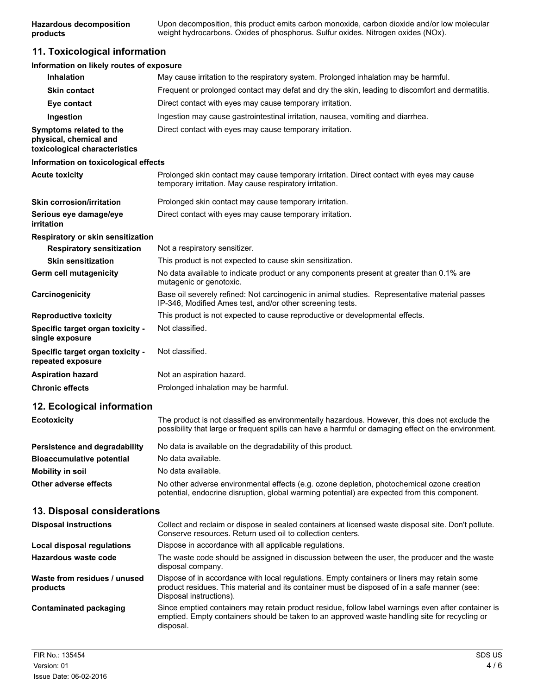Upon decomposition, this product emits carbon monoxide, carbon dioxide and/or low molecular weight hydrocarbons. Oxides of phosphorus. Sulfur oxides. Nitrogen oxides (NOx). **Hazardous decomposition products**

## **11. Toxicological information**

## **Information on likely routes of exposure**

| <b>Inhalation</b>                                                                  | May cause irritation to the respiratory system. Prolonged inhalation may be harmful.                                                                                                                                   |
|------------------------------------------------------------------------------------|------------------------------------------------------------------------------------------------------------------------------------------------------------------------------------------------------------------------|
| <b>Skin contact</b>                                                                | Frequent or prolonged contact may defat and dry the skin, leading to discomfort and dermatitis.                                                                                                                        |
| Eye contact                                                                        | Direct contact with eyes may cause temporary irritation.                                                                                                                                                               |
| Ingestion                                                                          | Ingestion may cause gastrointestinal irritation, nausea, vomiting and diarrhea.                                                                                                                                        |
| Symptoms related to the<br>physical, chemical and<br>toxicological characteristics | Direct contact with eyes may cause temporary irritation.                                                                                                                                                               |
| Information on toxicological effects                                               |                                                                                                                                                                                                                        |
| <b>Acute toxicity</b>                                                              | Prolonged skin contact may cause temporary irritation. Direct contact with eyes may cause<br>temporary irritation. May cause respiratory irritation.                                                                   |
| <b>Skin corrosion/irritation</b>                                                   | Prolonged skin contact may cause temporary irritation.                                                                                                                                                                 |
| Serious eye damage/eye<br>irritation                                               | Direct contact with eyes may cause temporary irritation.                                                                                                                                                               |
| Respiratory or skin sensitization                                                  |                                                                                                                                                                                                                        |
| <b>Respiratory sensitization</b>                                                   | Not a respiratory sensitizer.                                                                                                                                                                                          |
| <b>Skin sensitization</b>                                                          | This product is not expected to cause skin sensitization.                                                                                                                                                              |
| Germ cell mutagenicity                                                             | No data available to indicate product or any components present at greater than 0.1% are<br>mutagenic or genotoxic.                                                                                                    |
| Carcinogenicity                                                                    | Base oil severely refined: Not carcinogenic in animal studies. Representative material passes<br>IP-346, Modified Ames test, and/or other screening tests.                                                             |
| <b>Reproductive toxicity</b>                                                       | This product is not expected to cause reproductive or developmental effects.                                                                                                                                           |
| Specific target organ toxicity -<br>single exposure                                | Not classified.                                                                                                                                                                                                        |
| Specific target organ toxicity -<br>repeated exposure                              | Not classified.                                                                                                                                                                                                        |
| <b>Aspiration hazard</b>                                                           | Not an aspiration hazard.                                                                                                                                                                                              |
| <b>Chronic effects</b>                                                             | Prolonged inhalation may be harmful.                                                                                                                                                                                   |
| 12. Ecological information                                                         |                                                                                                                                                                                                                        |
| <b>Ecotoxicity</b>                                                                 | The product is not classified as environmentally hazardous. However, this does not exclude the<br>possibility that large or frequent spills can have a harmful or damaging effect on the environment.                  |
| Persistence and degradability                                                      | No data is available on the degradability of this product.                                                                                                                                                             |
| <b>Bioaccumulative potential</b>                                                   | No data available.                                                                                                                                                                                                     |
| <b>Mobility in soil</b>                                                            | No data available.                                                                                                                                                                                                     |
| Other adverse effects                                                              | No other adverse environmental effects (e.g. ozone depletion, photochemical ozone creation<br>potential, endocrine disruption, global warming potential) are expected from this component.                             |
| 13. Disposal considerations                                                        |                                                                                                                                                                                                                        |
| <b>Disposal instructions</b>                                                       | Collect and reclaim or dispose in sealed containers at licensed waste disposal site. Don't pollute.<br>Conserve resources. Return used oil to collection centers.                                                      |
| Local disposal regulations                                                         | Dispose in accordance with all applicable regulations.                                                                                                                                                                 |
| Hazardous waste code                                                               | The waste code should be assigned in discussion between the user, the producer and the waste<br>disposal company.                                                                                                      |
| Waste from residues / unused<br>products                                           | Dispose of in accordance with local regulations. Empty containers or liners may retain some<br>product residues. This material and its container must be disposed of in a safe manner (see:<br>Disposal instructions). |
| <b>Contaminated packaging</b>                                                      | Since emptied containers may retain product residue, follow label warnings even after container is<br>emptied. Empty containers should be taken to an approved waste handling site for recycling or<br>disposal.       |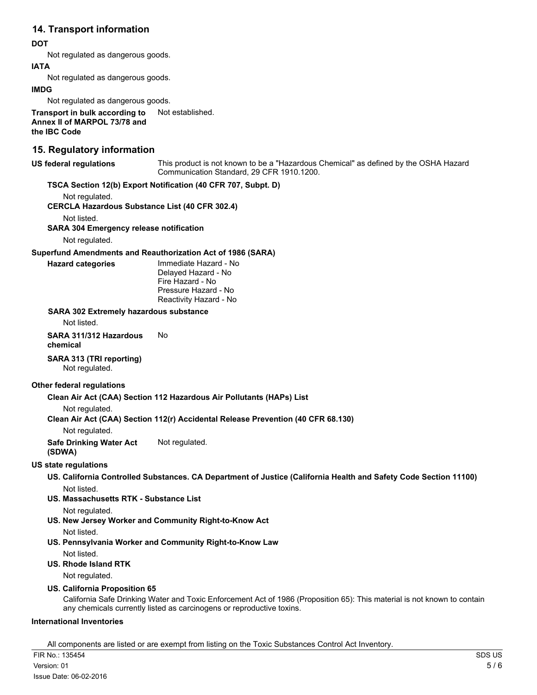## **14. Transport information**

#### **DOT**

Not regulated as dangerous goods.

#### **IATA**

Not regulated as dangerous goods.

#### **IMDG**

Not regulated as dangerous goods.

**Transport in bulk according to** Not established. **Annex II of MARPOL 73/78 and the IBC Code**

## **15. Regulatory information**

#### **US federal regulations**

This product is not known to be a "Hazardous Chemical" as defined by the OSHA Hazard Communication Standard, 29 CFR 1910.1200.

## **TSCA Section 12(b) Export Notification (40 CFR 707, Subpt. D)**

Not regulated.

**CERCLA Hazardous Substance List (40 CFR 302.4)**

Not listed.

**SARA 304 Emergency release notification**

Not regulated.

#### **Superfund Amendments and Reauthorization Act of 1986 (SARA)**

**Hazard categories**

Immediate Hazard - No Delayed Hazard - No Fire Hazard - No Pressure Hazard - No Reactivity Hazard - No

#### **SARA 302 Extremely hazardous substance**

Not listed.

**SARA 311/312 Hazardous** No **chemical**

## **SARA 313 (TRI reporting)**

Not regulated.

## **Other federal regulations**

## **Clean Air Act (CAA) Section 112 Hazardous Air Pollutants (HAPs) List**

Not regulated.

## **Clean Air Act (CAA) Section 112(r) Accidental Release Prevention (40 CFR 68.130)**

Not regulated.

**Safe Drinking Water Act** Not regulated.

## **(SDWA)**

## **US state regulations**

**US. California Controlled Substances. CA Department of Justice (California Health and Safety Code Section 11100)** Not listed.

**US. Massachusetts RTK - Substance List**

Not regulated.

**US. New Jersey Worker and Community Right-to-Know Act**

Not listed.

**US. Pennsylvania Worker and Community Right-to-Know Law** Not listed.

**US. Rhode Island RTK**

Not regulated.

## **US. California Proposition 65**

California Safe Drinking Water and Toxic Enforcement Act of 1986 (Proposition 65): This material is not known to contain any chemicals currently listed as carcinogens or reproductive toxins.

## **International Inventories**

All components are listed or are exempt from listing on the Toxic Substances Control Act Inventory.